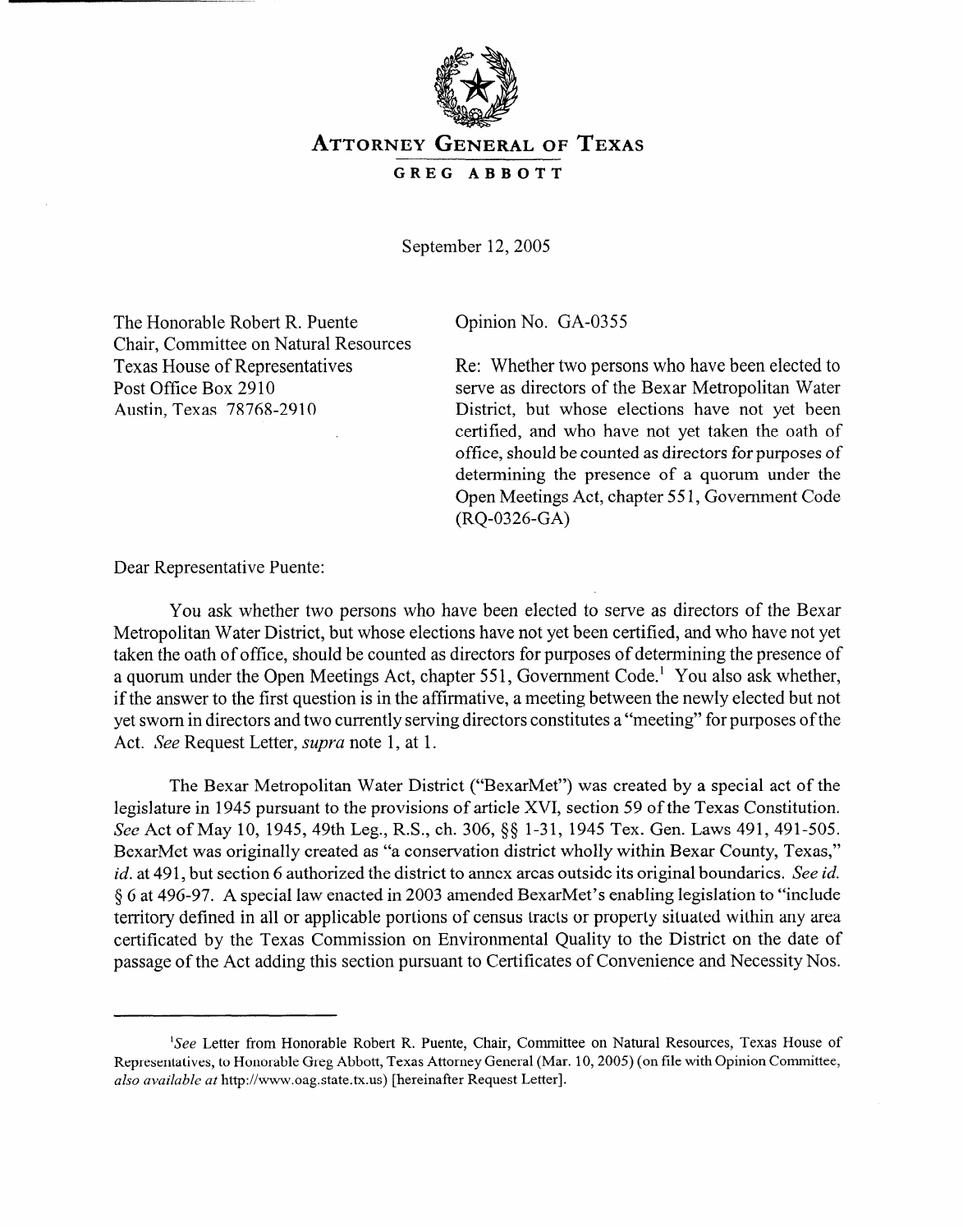

## **ATTORNEY GENERAL OF TEXAS GREG ABBOTT**

September 12, 2005

The Honorable Robert R. Puente Chair, Committee on Natural Resources Texas House of Representatives Post Office Box 2910 Austin, Texas 78768-2910

Opinion No. GA-0355

Re: Whether two persons who have been elected to serve as directors of the Bexar Metropolitan Water District, but whose elections have not yet been certified, and who have not yet taken the oath of office, should be counted as directors for purposes of determining the presence of a quorum under the Open Meetings Act, chapter 55 1, Government Code (RQ-0326-GA)

Dear Representative Puente:

You ask whether two persons who have been elected to serve as directors of the Bexar Metropolitan Water District, but whose elections have not yet been certified, and who have not yet taken the oath of office, should be counted as directors for purposes of determining the presence of a quorum under the Open Meetings Act, chapter 55 1, Government Code.' You also ask whether, if the answer to the first question is in the affirmative, a meeting between the newly elected but not yet sworn in directors and two currently serving directors constitutes a "meeting" for purposes of the Act. See Request Letter, *supra* note 1, at 1.

The Bexar Metropolitan Water District ("BexarMet") was created by a special act of the legislature in 1945 pursuant to the provisions of article XVI, section 59 of the Texas Constitution. See Act of May 10, 1945, 49th Leg., R.S., ch. 306, §§ 1-31, 1945 Tex. Gen. Laws 491, 491-505. BexarMet was originally created as "a conservation district wholly within Bexar County, Texas," *id.* at 49 1, but section 6 authorized the district to annex areas outside its original boundaries. See *id.*  5 6 at 496-97. A special law enacted in 2003 amended BexarMet's enabling legislation to "include territory defined in all or applicable portions of census tracts or property situated within any area certificated by the Texas Commission on Environmental Quality to the District on the date of passage of the Act adding this section pursuant to Certificates of Convenience and Necessity Nos.

<sup>&#</sup>x27;See Letter from Honorable Robert R. Puente, Chair, Committee on Natural Resources, Texas House of Representatives, to Honorable Greg Abbott, Texas Attorney General (Mar. 10,2005) (on file with Opinion Committee, *also availabk at* http://www.oag.state.tx.us) [hereinafter Request Letter].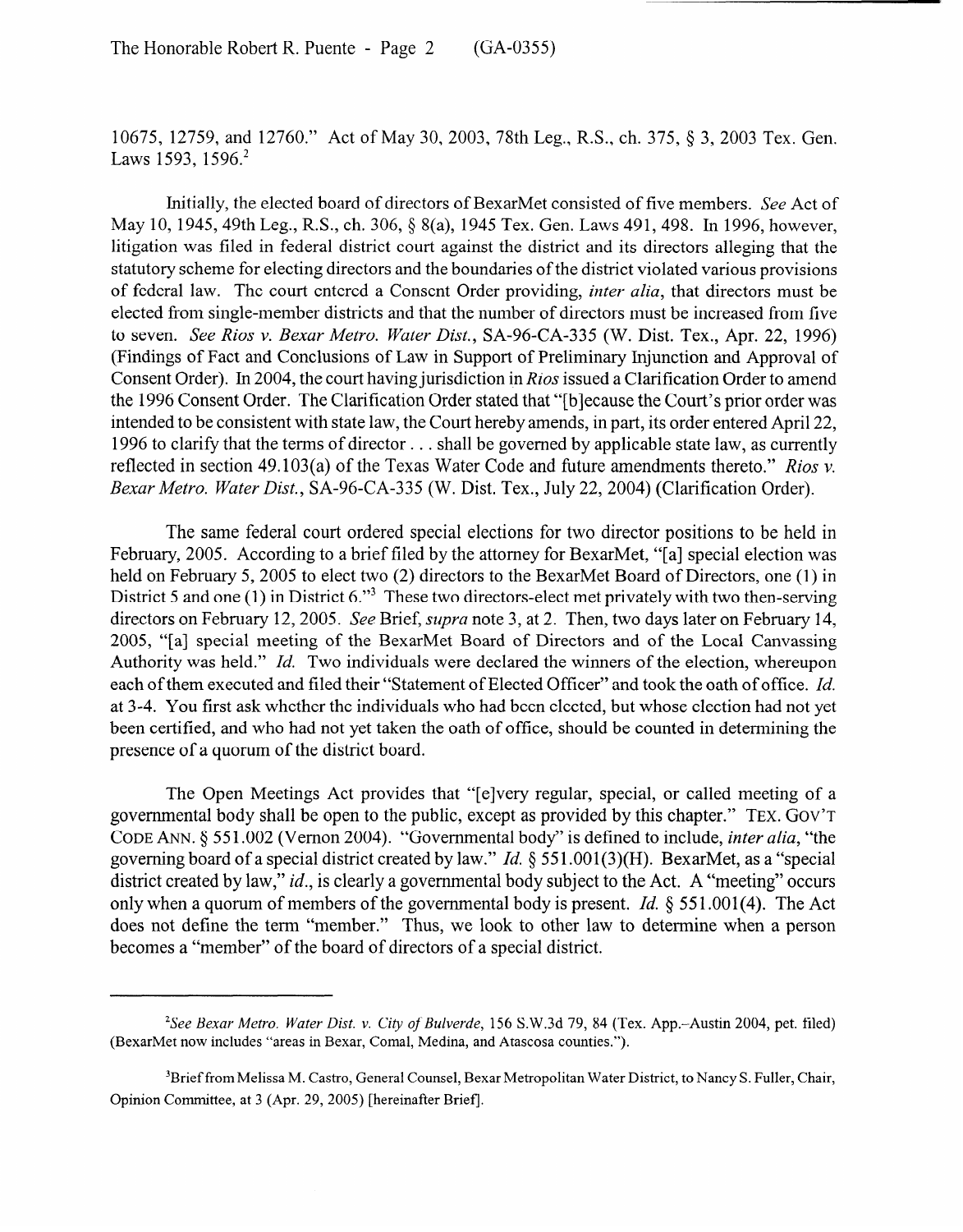10675, 12759, and 12760." Act of May 30, 2003, 78th Leg., R.S., ch. 375, 8 3, 2003 Tex. Gen. Laws 1593, 1596.<sup>2</sup>

Initially, the elected board of directors of BexarMet consisted of five members. See Act of May 10, 1945, 49th Leg., R.S., ch. 306, § 8(a), 1945 Tex. Gen. Laws 491, 498. In 1996, however, litigation was filed in federal district court against the district and its directors alleging that the statutory scheme for electing directors and the boundaries of the district violated various provisions of federal law. The court entered a Consent Order providing, *inter alia,* that directors must be elected from single-member districts and that the number of directors must be increased from five to seven. *See Rios v. Bexar Metro. Water Dist.,* SA-96-CA-335 (W. Dist. Tex., Apr. 22, 1996) (Findings of Fact and Conclusions of Law in Support of Preliminary Injunction and Approval of Consent Order). In 2004, the court having jurisdiction in *Rios* issued a Clarification Order to amend the 1996 Consent Order. The Clarification Order stated that "[blecause the Court's prior order was intended to be consistent with state law, the Court hereby amends, in part, its order entered April 22, 1996 to clarify that the terms of director . . . shall be governed by applicable state law, as currently reflected in section 49.103(a) of the Texas Water Code and future amendments thereto." *Rios v. Bexar Metro. Water Dist.,* SA-96-CA-335 (W. Dist. Tex., July 22, 2004) (Clarification Order).

The same federal court ordered special elections for two director positions to be held in February, 2005. According to a brief filed by the attorney for BexarMet, "[a] special election was held on February 5, 2005 to elect two (2) directors to the BexarMet Board of Directors, one (1) in District 5 and one (1) in District 6."<sup>3</sup> These two directors-elect met privately with two then-serving directors on February 12,2005. See Brief, *supva* note 3, at 2. Then, two days later on February 14, 2005, "[a] special meeting of the BexarMet Board of Directors and of the Local Canvassing Authority was held." *Id.* Two individuals were declared the winners of the election, whereupon each of them executed and filed their "Statement of Elected Officer" and took the oath of office. *Id.*  at 3-4. You first ask whether the individuals who had been elected, but whose election had not yet been certified, and who had not yet taken the oath of office, should be counted in determining the presence of a quorum of the district board.

The Open Meetings Act provides that "[elvery regular, special, or called meeting of a governmental body shall be open to the public, except as provided by this chapter." TEX. GOV'T CODE ANN. 9 55 1.002 (Vernon 2004). "Governmental body" is defined to include, *inter alia,* "the governing board of a special district created by law." *Id.* 9 55 1.001(3)(H). BexarMet, as a "special district created by law," *id.*, is clearly a governmental body subject to the Act. A "meeting" occurs only when a quorum of members of the governmental body is present. *Id. 9 55* l.OOl(4). The Act does not define the term "member." Thus, we look to other law to determine when a person becomes a "member" of the board of directors of a special district.

*<sup>2</sup>See Bexar Metro. Water Dist.* v. *City of Bulverde,* 156 S.W.3d 79, 84 (Tex. App.-Austin 2004, pet. filed) (BexarMet now includes "areas in Bexar, Comal, Medina, and Atascosa counties.").

<sup>3</sup>Brief from Melissa M. Castro, General Counsel, Bexar Metropolitan Water District, to Nancy S. Fuller, Chair, Opinion Comrnittee, at 3 (Apr. 29, 2005) [hereinafter Brief].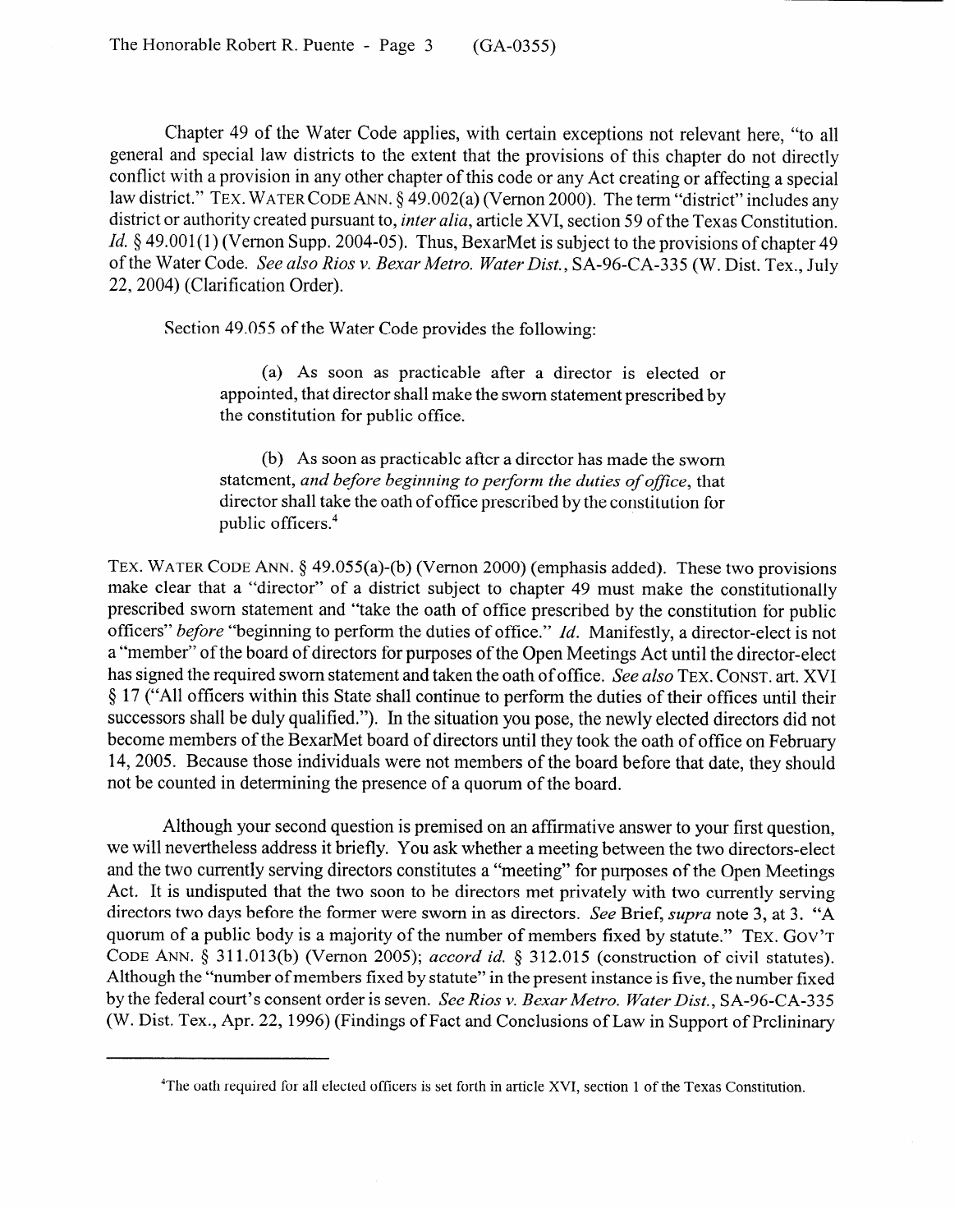Chapter 49 of the Water Code applies, with certain exceptions not relevant here, "to all general and special law districts to the extent that the provisions of this chapter do not directly conflict with a provision in any other chapter of this code or any Act creating or affecting a special law district." TEX. WATER CODE ANN. § 49.002(a) (Vernon 2000). The term "district" includes any district or authority created pursuant to, *inter alia,* article XVI, section 59 of the Texas Constitution. *Id.* § 49.001(1) (Vernon Supp. 2004-05). Thus, BexarMet is subject to the provisions of chapter 49 of the Water Code. See *also Rios v. Bexar Metro. Water Dist.,* SA-96-CA-335 (W. Dist. Tex., July 22, 2004) (Clarification Order).

Section 49.055 of the Water Code provides the following:

(a) As soon as practicable after a director is elected or appointed, that director shall make the sworn statement prescribed by the constitution for public office.

(b) As soon as practicable after a director has made the sworn statement, and before beginning to perform the duties of office, that statement, *and before beginning to perform the duties of office,* that  $\frac{d}{dt}$  and  $\frac{d}{dt}$  take the oath of office prescribed by the constitution for public officers.4

TEX. WATER CODE ANN.  $\S$  49.055(a)-(b) (Vernon 2000) (emphasis added). These two provisions make clear that a "director" of a district subject to chapter 49 must make the constitutionally prescribed sworn statement and "take the oath of office prescribed by the constitution for public officers" before "beginning to perform the duties of office." Id. Manifestly, a director-elect is not a "member" of the board of directors for purposes of the Open Meetings Act until the director-elect has signed the required sworn statement and taken the oath of office. See also TEX, CONST, art, XVI § 17 ("All officers within this State shall continue to perform the duties of their offices until their successors shall be duly qualified."). In the situation you pose, the newly elected directors did not become members of the BexarMet board of directors until they took the oath of office on February 14, 2005. Because those individuals were not members of the board before that date, they should not be counted in determining the presence of a quorum of the board. not be counted in determining the presence of a quorum of the board.

Although your second question is premised on an affirmative answer to your first question, we will nevertheless address it briefly. You ask whether a meeting between the two directors-elect and the two currently serving directors constitutes a "meeting" for purposes of the Open Meetings Act. It is undisputed that the two soon to be directors met privately with two currently serving directors two days before the former were sworn in as directors. See Brief, supra note 3, at 3. "A quorum of a public body is a majority of the number of members fixed by statute." TEX. GOV'T CODE ANN. § 311.013(b) (Vernon 2005); accord id. § 312.015 (construction of civil statutes). Although the "number of members fixed by statute" in the present instance is five, the number fixed by the federal court's consent order is seven. See Rios v. Bexar Metro. Water Dist., SA-96-CA-335 (W. Dist. Tex., Apr. 22, 1996) (Findings of Fact and Conclusions of Law in Support of Prelininary

<sup>&</sup>lt;sup>4</sup>The oath required for all elected officers is set forth in article XVI, section 1 of the Texas Constitution.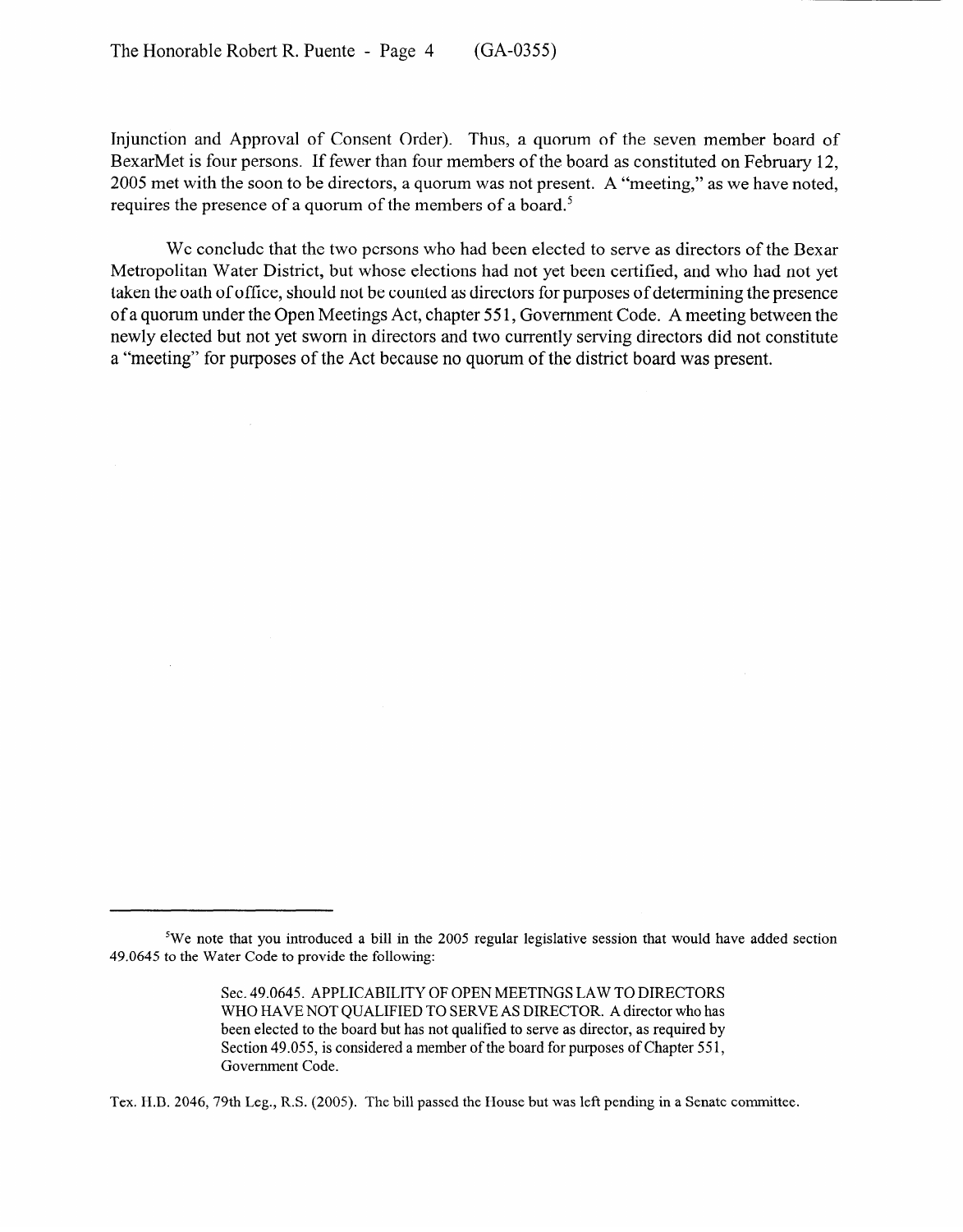Injunction and Approval of Consent Order). Thus, a quorum of the seven member board of BexarMet is four persons. If fewer than four members of the board as constituted on February 12, 2005 met with the soon to be directors, a quorum was not present. A "meeting," as we have noted, requires the presence of a quorum of the members of a board.<sup>5</sup>

We conclude that the two persons who had been elected to serve as directors of the Bexar Metropolitan Water District, but whose elections had not yet been certified, and who had not yet taken the oath of office, should not be counted as directors for purposes of determining the presence of a quorum under the Open Meetings Act, chapter 55 1, Government Code. A meeting between the newly elected but not yet sworn in directors and two currently serving directors did not constitute a "meeting" for purposes of the Act because no quorum of the district board was present.

Tex. H.B. 2046,79th Leg., R.S. (2005). The bill passed the House but was left pending in a Senate committee.

<sup>&</sup>lt;sup>5</sup>We note that you introduced a bill in the 2005 regular legislative session that would have added section 49.0645 to the Water Code to provide the following:

Sec. 49.0645. APPLICABILITY OF OPEN MEETINGS LAW TO DIRECTORS WHO HAVE NOT QUALIFIED TO SERVE AS DIRECTOR. A director who has been elected to the board but has not qualified to serve as director, as required by Section 49.055, is considered a member of the board for purposes of Chapter 551, Government Code.